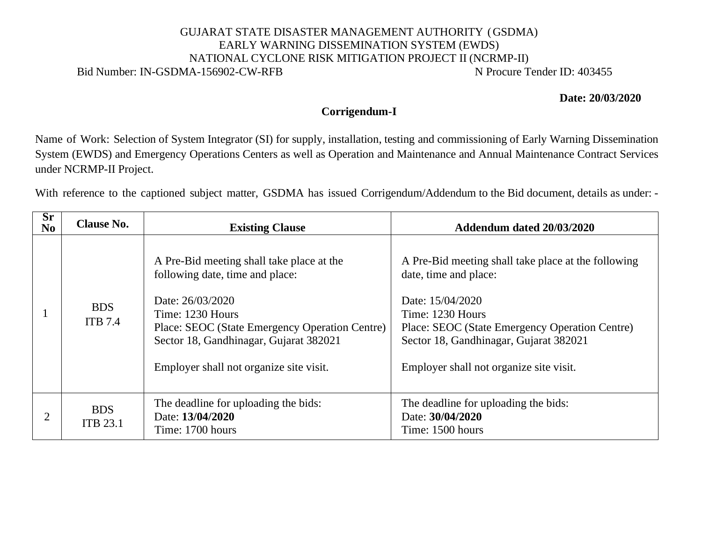## GUJARAT STATE DISASTER MANAGEMENT AUTHORITY (GSDMA) EARLY WARNING DISSEMINATION SYSTEM (EWDS) NATIONAL CYCLONE RISK MITIGATION PROJECT II (NCRMP-II) Bid Number: IN-GSDMA-156902-CW-RFB N Procure Tender ID: 403455

**Date: 20/03/2020**

## **Corrigendum-I**

Name of Work: Selection of System Integrator (SI) for supply, installation, testing and commissioning of Early Warning Dissemination System (EWDS) and Emergency Operations Centers as well as Operation and Maintenance and Annual Maintenance Contract Services under NCRMP-II Project.

With reference to the captioned subject matter, GSDMA has issued Corrigendum/Addendum to the Bid document, details as under: -

| <b>Sr</b><br>N <sub>o</sub> | <b>Clause No.</b>             | <b>Existing Clause</b>                                                                                                                                                                                                                                      | Addendum dated 20/03/2020                                                                                                                                                                                                                                   |  |  |  |
|-----------------------------|-------------------------------|-------------------------------------------------------------------------------------------------------------------------------------------------------------------------------------------------------------------------------------------------------------|-------------------------------------------------------------------------------------------------------------------------------------------------------------------------------------------------------------------------------------------------------------|--|--|--|
|                             | <b>BDS</b><br><b>ITB</b> 7.4  | A Pre-Bid meeting shall take place at the<br>following date, time and place:<br>Date: 26/03/2020<br>Time: 1230 Hours<br>Place: SEOC (State Emergency Operation Centre)<br>Sector 18, Gandhinagar, Gujarat 382021<br>Employer shall not organize site visit. | A Pre-Bid meeting shall take place at the following<br>date, time and place:<br>Date: 15/04/2020<br>Time: 1230 Hours<br>Place: SEOC (State Emergency Operation Centre)<br>Sector 18, Gandhinagar, Gujarat 382021<br>Employer shall not organize site visit. |  |  |  |
|                             | <b>BDS</b><br><b>ITB 23.1</b> | The deadline for uploading the bids:<br>Date: 13/04/2020<br>Time: 1700 hours                                                                                                                                                                                | The deadline for uploading the bids:<br>Date: 30/04/2020<br>Time: 1500 hours                                                                                                                                                                                |  |  |  |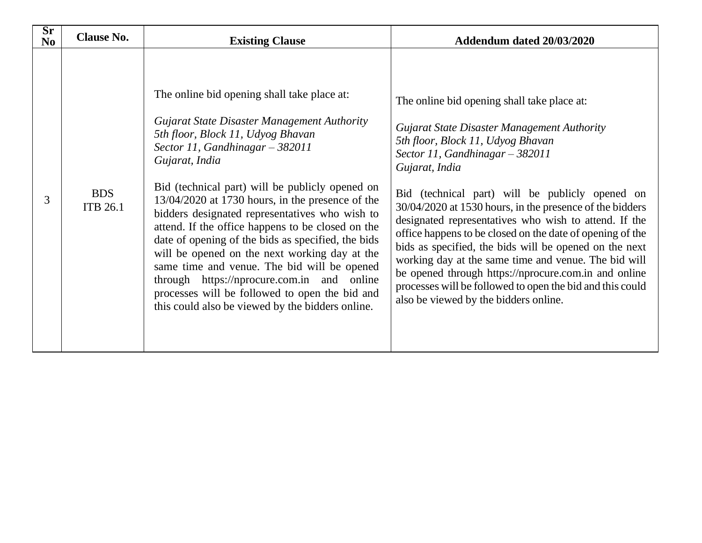| $\overline{\text{Sr}}$<br>N <sub>0</sub> | <b>Clause No.</b>             | <b>Existing Clause</b>                                                                                                                                                                                                                                                                                                                                                                                                                                                                                                                                                                                                                                                                                           | Addendum dated 20/03/2020                                                                                                                                                                                                                                                                                                                                                                                                                                                                                                                                                                                                                                                                                   |  |  |  |
|------------------------------------------|-------------------------------|------------------------------------------------------------------------------------------------------------------------------------------------------------------------------------------------------------------------------------------------------------------------------------------------------------------------------------------------------------------------------------------------------------------------------------------------------------------------------------------------------------------------------------------------------------------------------------------------------------------------------------------------------------------------------------------------------------------|-------------------------------------------------------------------------------------------------------------------------------------------------------------------------------------------------------------------------------------------------------------------------------------------------------------------------------------------------------------------------------------------------------------------------------------------------------------------------------------------------------------------------------------------------------------------------------------------------------------------------------------------------------------------------------------------------------------|--|--|--|
| 3                                        | <b>BDS</b><br><b>ITB 26.1</b> | The online bid opening shall take place at:<br>Gujarat State Disaster Management Authority<br>5th floor, Block 11, Udyog Bhavan<br>Sector 11, Gandhinagar $-$ 382011<br>Gujarat, India<br>Bid (technical part) will be publicly opened on<br>$13/04/2020$ at 1730 hours, in the presence of the<br>bidders designated representatives who wish to<br>attend. If the office happens to be closed on the<br>date of opening of the bids as specified, the bids<br>will be opened on the next working day at the<br>same time and venue. The bid will be opened<br>through https://nprocure.com.in and online<br>processes will be followed to open the bid and<br>this could also be viewed by the bidders online. | The online bid opening shall take place at:<br>Gujarat State Disaster Management Authority<br>5th floor, Block 11, Udyog Bhavan<br>Sector 11, Gandhinagar $-$ 382011<br>Gujarat, India<br>Bid (technical part) will be publicly opened on<br>30/04/2020 at 1530 hours, in the presence of the bidders<br>designated representatives who wish to attend. If the<br>office happens to be closed on the date of opening of the<br>bids as specified, the bids will be opened on the next<br>working day at the same time and venue. The bid will<br>be opened through https://nprocure.com.in and online<br>processes will be followed to open the bid and this could<br>also be viewed by the bidders online. |  |  |  |